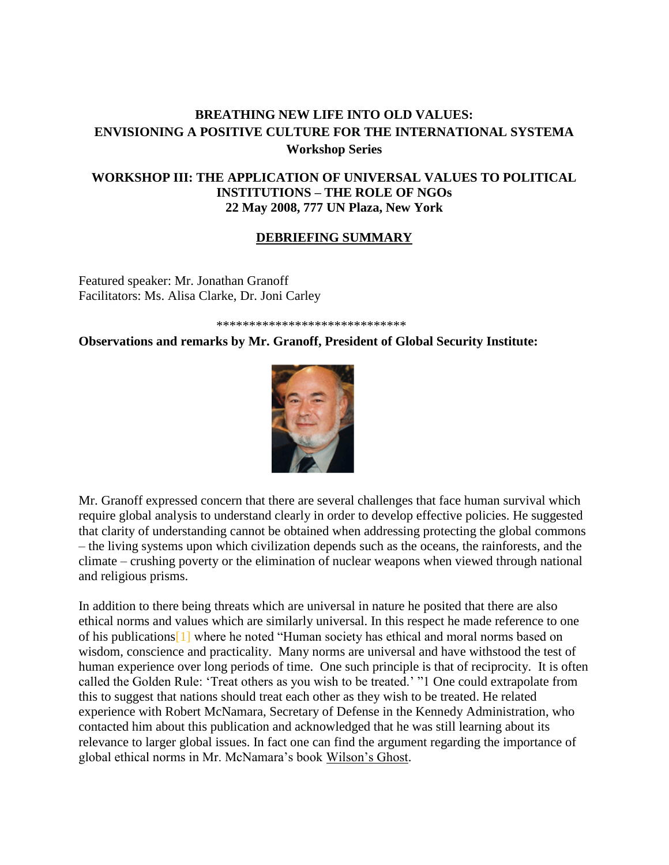# **BREATHING NEW LIFE INTO OLD VALUES: ENVISIONING A POSITIVE CULTURE FOR THE INTERNATIONAL SYSTEMA Workshop Series**

# **WORKSHOP III: THE APPLICATION OF UNIVERSAL VALUES TO POLITICAL INSTITUTIONS – THE ROLE OF NGOs 22 May 2008, 777 UN Plaza, New York**

## **DEBRIEFING SUMMARY**

Featured speaker: Mr. Jonathan Granoff Facilitators: Ms. Alisa Clarke, Dr. Joni Carley

#### \*\*\*\*\*\*\*\*\*\*\*\*\*\*\*\*\*\*\*\*\*\*\*\*\*\*\*\*\*

### **Observations and remarks by Mr. Granoff, President of Global Security Institute:**



Mr. Granoff expressed concern that there are several challenges that face human survival which require global analysis to understand clearly in order to develop effective policies. He suggested that clarity of understanding cannot be obtained when addressing protecting the global commons – the living systems upon which civilization depends such as the oceans, the rainforests, and the climate – crushing poverty or the elimination of nuclear weapons when viewed through national and religious prisms.

In addition to there being threats which are universal in nature he posited that there are also ethical norms and values which are similarly universal. In this respect he made reference to one of his publication[s\[1\]](http://www.weebly.com/weebly/main.php#_ftn1) where he noted "Human society has ethical and moral norms based on wisdom, conscience and practicality. Many norms are universal and have withstood the test of human experience over long periods of time. One such principle is that of reciprocity. It is often called the Golden Rule: 'Treat others as you wish to be treated.' "1 One could extrapolate from this to suggest that nations should treat each other as they wish to be treated. He related experience with Robert McNamara, Secretary of Defense in the Kennedy Administration, who contacted him about this publication and acknowledged that he was still learning about its relevance to larger global issues. In fact one can find the argument regarding the importance of global ethical norms in Mr. McNamara's book Wilson's Ghost.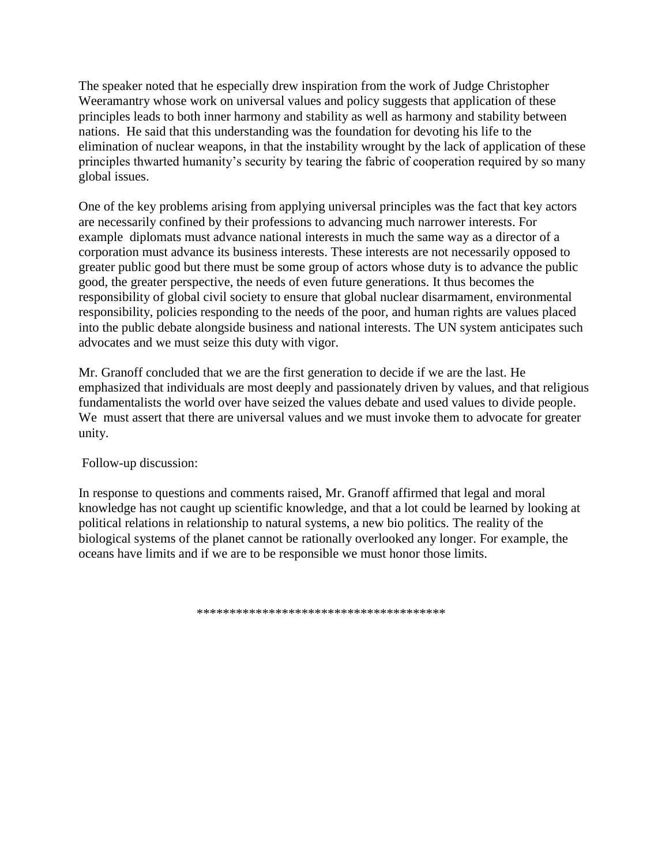The speaker noted that he especially drew inspiration from the work of Judge Christopher Weeramantry whose work on universal values and policy suggests that application of these principles leads to both inner harmony and stability as well as harmony and stability between nations. He said that this understanding was the foundation for devoting his life to the elimination of nuclear weapons, in that the instability wrought by the lack of application of these principles thwarted humanity's security by tearing the fabric of cooperation required by so many global issues.

One of the key problems arising from applying universal principles was the fact that key actors are necessarily confined by their professions to advancing much narrower interests. For example diplomats must advance national interests in much the same way as a director of a corporation must advance its business interests. These interests are not necessarily opposed to greater public good but there must be some group of actors whose duty is to advance the public good, the greater perspective, the needs of even future generations. It thus becomes the responsibility of global civil society to ensure that global nuclear disarmament, environmental responsibility, policies responding to the needs of the poor, and human rights are values placed into the public debate alongside business and national interests. The UN system anticipates such advocates and we must seize this duty with vigor.

Mr. Granoff concluded that we are the first generation to decide if we are the last. He emphasized that individuals are most deeply and passionately driven by values, and that religious fundamentalists the world over have seized the values debate and used values to divide people. We must assert that there are universal values and we must invoke them to advocate for greater unity.

Follow-up discussion:

In response to questions and comments raised, Mr. Granoff affirmed that legal and moral knowledge has not caught up scientific knowledge, and that a lot could be learned by looking at political relations in relationship to natural systems, a new bio politics. The reality of the biological systems of the planet cannot be rationally overlooked any longer. For example, the oceans have limits and if we are to be responsible we must honor those limits.

\*\*\*\*\*\*\*\*\*\*\*\*\*\*\*\*\*\*\*\*\*\*\*\*\*\*\*\*\*\*\*\*\*\*\*\*\*\*